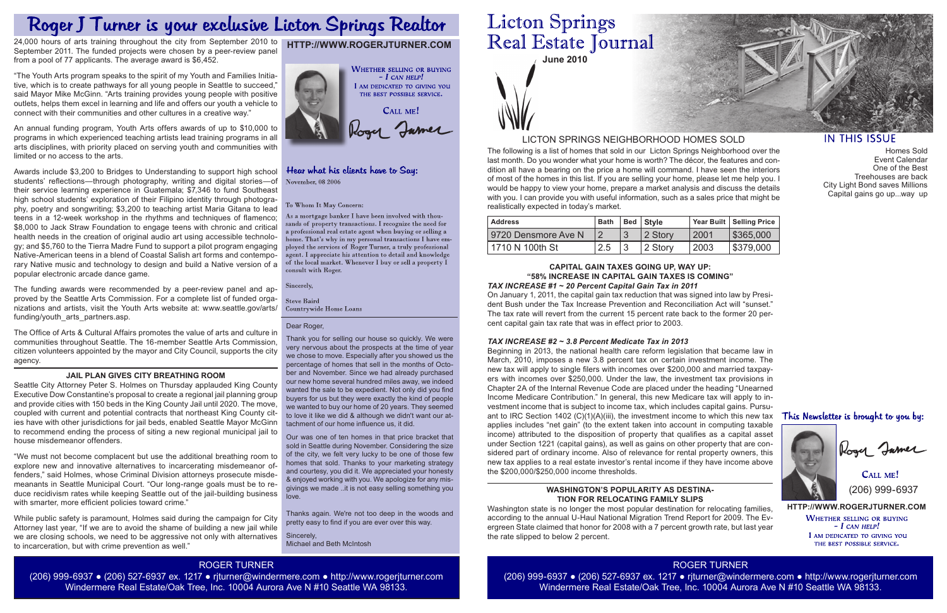**June 2010**

The following is a list of homes that sold in our Licton Springs Neighborhood over the last month. Do you wonder what your home is worth? The décor, the features and condition all have a bearing on the price a home will command. I have seen the interiors of most of the homes in this list. If you are selling your home, please let me help you. I would be happy to view your home, prepare a market analysis and discuss the details with you. I can provide you with useful information, such as a sales price that might be realistically expected in today's market.

> **HTTP://WWW.ROGERJTURNER.COM WHETHER SELLING OR BUYING**  $-I$  CAN HELP! I AM DEDICATED TO GIVING YOU THE BEST POSSIBLE SERVICE.

CALL ME! (206) 999-6937

# LICTON SPRINGS NEIGHBORHOOD HOMES SOLD

# **HTTP://WWW.ROGERJTURNER.COM**



## Hear what his clients have to Say: November, 08 2006

#### To Whom It May Concern:

As a mortgage banker I have been involved with thousands of property transactions. I recognize the need for a professional real estate agent when buying or selling a home. That's why in my personal transactions I have employed the services of Roger Turner, a truly professional agent. I appreciate his attention to detail and knowledge of the local market. Whenever I buy or sell a property I consult with Roger.

Sincerely,

**Steve Baird Countrywide Home Loans** 

| l Address           | <b>Bath</b> | Bed   Style |      | Year Built   Selling Price |
|---------------------|-------------|-------------|------|----------------------------|
| 9720 Densmore Ave N |             | 2 Storv     | 2001 | \$365,000                  |
| l 1710 N 100th St   | 2.5         | l 2 Storv   | 2003 | \$379,000                  |

ROGER TURNER (206) 999-6937 ● (206) 527-6937 ex. 1217 ● rjturner@windermere.com ● http://www.rogerjturner.com Windermere Real Estate/Oak Tree, Inc. 10004 Aurora Ave N #10 Seattle WA 98133.



# **IN THIS ISSUE**

# ROGER TURNER

(206) 999-6937 ● (206) 527-6937 ex. 1217 ● rjturner@windermere.com ● http://www.rogerjturner.com Windermere Real Estate/Oak Tree, Inc. 10004 Aurora Ave N #10 Seattle WA 98133.

# **Licton Springs** Real Estate Journal

#### **CAPITAL GAIN TAXES GOING UP, WAY UP: "58% INCREASE IN CAPITAL GAIN TAXES IS COMING"**  *TAX INCREASE #1 ~ 20 Percent Capital Gain Tax in 2011*

On January 1, 2011, the capital gain tax reduction that was signed into law by President Bush under the Tax Increase Prevention and Reconciliation Act will "sunset." The tax rate will revert from the current 15 percent rate back to the former 20 percent capital gain tax rate that was in effect prior to 2003.

### *TAX INCREASE #2 ~ 3.8 Percent Medicate Tax in 2013*

Beginning in 2013, the national health care reform legislation that became law in March, 2010, imposes a new 3.8 percent tax on certain investment income. The new tax will apply to single filers with incomes over \$200,000 and married taxpayers with incomes over \$250,000. Under the law, the investment tax provisions in Chapter 2A of the Internal Revenue Code are placed under the heading "Unearned Income Medicare Contribution." In general, this new Medicare tax will apply to investment income that is subject to income tax, which includes capital gains. Pursuant to IRC Section 1402  $(C)(1)(A)(iii)$ , the investment income to which this new tax This Newsletter is brought to you by: applies includes "net gain" (to the extent taken into account in computing taxable income) attributed to the disposition of property that qualifies as a capital asset under Section 1221 (capital gains), as well as gains on other property that are con-Rogy James sidered part of ordinary income. Also of relevance for rental property owners, this new tax applies to a real estate investor's rental income if they have income above the \$200,000/\$250,000 income thresholds.

The funding awards were recommended by a peer-review panel and approved by the Seattle Arts Commission. For a complete list of funded organizations and artists, visit the Youth Arts website at: www.seattle.gov/arts/ funding/youth\_arts\_partners.asp.

#### **WASHINGTON'S POPULARITY AS DESTINA-TION FOR RELOCATING FAMILY SLIPS**

"We must not become complacent but use the additional breathing room to explore new and innovative alternatives to incarcerating misdemeanor offenders," said Holmes, whose Criminal Division attorneys prosecute misdemeanants in Seattle Municipal Court. "Our long-range goals must be to reduce recidivism rates while keeping Seattle out of the jail-building business with smarter, more efficient policies toward crime."

Washington state is no longer the most popular destination for relocating families, according to the annual U-Haul National Migration Trend Report for 2009. The Evergreen State claimed that honor for 2008 with a 7 percent growth rate, but last year the rate slipped to below 2 percent.

# Roger J Turner is your exclusive Licton Springs Realtor

24,000 hours of arts training throughout the city from September 2010 to September 2011. The funded projects were chosen by a peer-review panel from a pool of 77 applicants. The average award is \$6,452.

"The Youth Arts program speaks to the spirit of my Youth and Families Initiative, which is to create pathways for all young people in Seattle to succeed," said Mayor Mike McGinn. "Arts training provides young people with positive outlets, helps them excel in learning and life and offers our youth a vehicle to connect with their communities and other cultures in a creative way."

An annual funding program, Youth Arts offers awards of up to \$10,000 to programs in which experienced teaching artists lead training programs in all arts disciplines, with priority placed on serving youth and communities with limited or no access to the arts.

Awards include \$3,200 to Bridges to Understanding to support high school students' reflections—through photography, writing and digital stories—of their service learning experience in Guatemala; \$7,346 to fund Southeast high school students' exploration of their Filipino identity through photography, poetry and songwriting; \$3,200 to teaching artist Maria Gitana to lead teens in a 12-week workshop in the rhythms and techniques of flamenco; \$8,000 to Jack Straw Foundation to engage teens with chronic and critical health needs in the creation of original audio art using accessible technology; and \$5,760 to the Tierra Madre Fund to support a pilot program engaging Native-American teens in a blend of Coastal Salish art forms and contemporary Native music and technology to design and build a Native version of a popular electronic arcade dance game.

The Office of Arts & Cultural Affairs promotes the value of arts and culture in communities throughout Seattle. The 16-member Seattle Arts Commission, citizen volunteers appointed by the mayor and City Council, supports the city agency.

#### **JAIL PLAN GIVES CITY BREATHING ROOM**

Seattle City Attorney Peter S. Holmes on Thursday applauded King County Executive Dow Constantine's proposal to create a regional jail planning group and provide cities with 150 beds in the King County Jail until 2020. The move, coupled with current and potential contracts that northeast King County cities have with other jurisdictions for jail beds, enabled Seattle Mayor McGinn to recommend ending the process of siting a new regional municipal jail to house misdemeanor offenders.

While public safety is paramount, Holmes said during the campaign for City Attorney last year, "If we are to avoid the shame of building a new jail while we are closing schools, we need to be aggressive not only with alternatives to incarceration, but with crime prevention as well."

Homes Sold Event Calendar One of the Best Treehouses are back City Light Bond saves Millions Capital gains go up...way up



#### Dear Roger,

Thank you for selling our house so quickly. We were very nervous about the prospects at the time of year we chose to move. Especially after you showed us the percentage of homes that sell in the months of October and November. Since we had already purchased our new home several hundred miles away, we indeed wanted the sale to be expedient. Not only did you find buyers for us but they were exactly the kind of people we wanted to buy our home of 20 years. They seemed to love it like we did & although we didn't want our attachment of our home influence us, it did.

Our was one of ten homes in that price bracket that sold in Seattle during November. Considering the size of the city, we felt very lucky to be one of those few homes that sold. Thanks to your marketing strategy and courtesy, you did it. We appreciated your honesty & enjoyed working with you. We apologize for any misgivings we made ..it is not easy selling something you love.

Thanks again. We're not too deep in the woods and pretty easy to find if you are ever over this way.

Sincerely, Michael and Beth McIntosh